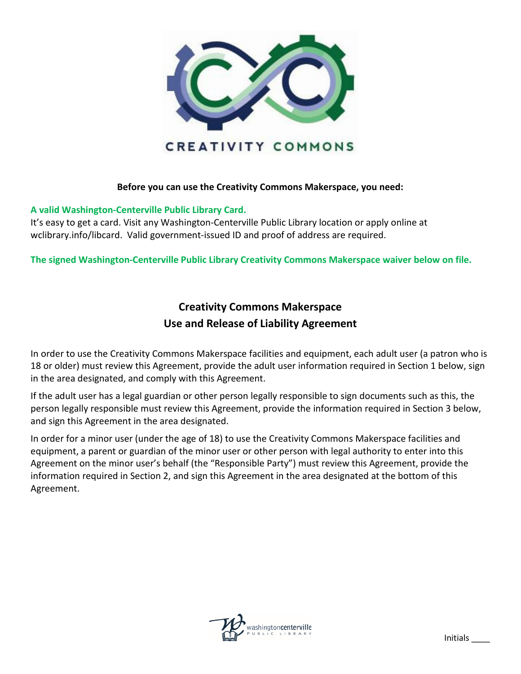

## **Before you can use the Creativity Commons Makerspace, you need:**

## **A valid Washington-Centerville Public Library Card.**

It's easy to get a card. Visit any Washington-Centerville Public Library location or apply online at wclibrary.info/libcard. Valid government-issued ID and proof of address are required.

**The signed Washington-Centerville Public Library Creativity Commons Makerspace waiver below on file.**

## **Creativity Commons Makerspace Use and Release of Liability Agreement**

In order to use the Creativity Commons Makerspace facilities and equipment, each adult user (a patron who is 18 or older) must review this Agreement, provide the adult user information required in Section 1 below, sign in the area designated, and comply with this Agreement.

If the adult user has a legal guardian or other person legally responsible to sign documents such as this, the person legally responsible must review this Agreement, provide the information required in Section 3 below, and sign this Agreement in the area designated.

In order for a minor user (under the age of 18) to use the Creativity Commons Makerspace facilities and equipment, a parent or guardian of the minor user or other person with legal authority to enter into this Agreement on the minor user's behalf (the "Responsible Party") must review this Agreement, provide the information required in Section 2, and sign this Agreement in the area designated at the bottom of this Agreement.

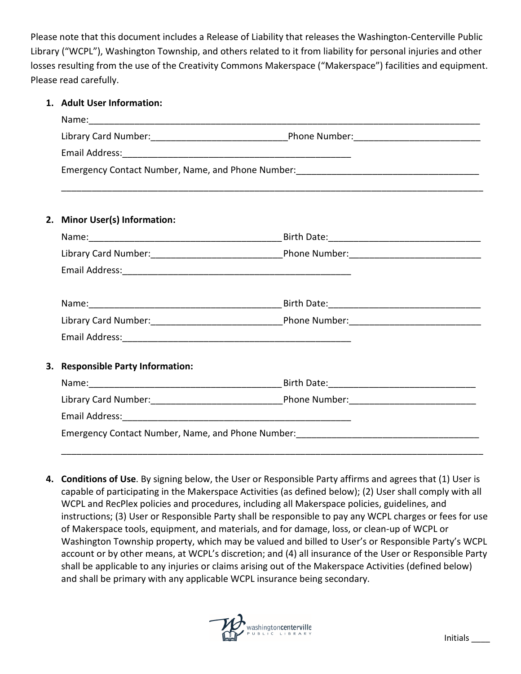Please note that this document includes a Release of Liability that releases the Washington-Centerville Public Library ("WCPL"), Washington Township, and others related to it from liability for personal injuries and other losses resulting from the use of the Creativity Commons Makerspace ("Makerspace") facilities and equipment. Please read carefully.

## **1. Adult User Information:**

|                                   | Emergency Contact Number, Name, and Phone Number: [19] [2012] [2013] [2013] [2013] [2013] [2013] [2014] [2014] [ |  |
|-----------------------------------|------------------------------------------------------------------------------------------------------------------|--|
| 2. Minor User(s) Information:     |                                                                                                                  |  |
|                                   |                                                                                                                  |  |
|                                   |                                                                                                                  |  |
|                                   |                                                                                                                  |  |
|                                   | Name: 1990 Mame: 2000 Manual Manual Manual Manual Manual Manual Manual Manual Manual Manual Manual Manual Manu   |  |
|                                   |                                                                                                                  |  |
|                                   |                                                                                                                  |  |
| 3. Responsible Party Information: |                                                                                                                  |  |
|                                   |                                                                                                                  |  |
|                                   |                                                                                                                  |  |
|                                   |                                                                                                                  |  |
|                                   | Emergency Contact Number, Name, and Phone Number: _______________________________                                |  |
|                                   |                                                                                                                  |  |

**4. Conditions of Use**. By signing below, the User or Responsible Party affirms and agrees that (1) User is capable of participating in the Makerspace Activities (as defined below); (2) User shall comply with all WCPL and RecPlex policies and procedures, including all Makerspace policies, guidelines, and instructions; (3) User or Responsible Party shall be responsible to pay any WCPL charges or fees for use of Makerspace tools, equipment, and materials, and for damage, loss, or clean-up of WCPL or Washington Township property, which may be valued and billed to User's or Responsible Party's WCPL account or by other means, at WCPL's discretion; and (4) all insurance of the User or Responsible Party shall be applicable to any injuries or claims arising out of the Makerspace Activities (defined below) and shall be primary with any applicable WCPL insurance being secondary.

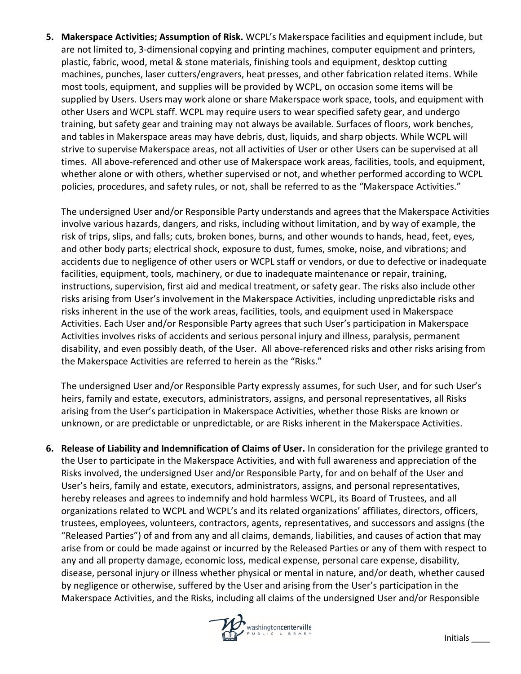**5. Makerspace Activities; Assumption of Risk.** WCPL's Makerspace facilities and equipment include, but are not limited to, 3-dimensional copying and printing machines, computer equipment and printers, plastic, fabric, wood, metal & stone materials, finishing tools and equipment, desktop cutting machines, punches, laser cutters/engravers, heat presses, and other fabrication related items. While most tools, equipment, and supplies will be provided by WCPL, on occasion some items will be supplied by Users. Users may work alone or share Makerspace work space, tools, and equipment with other Users and WCPL staff. WCPL may require users to wear specified safety gear, and undergo training, but safety gear and training may not always be available. Surfaces of floors, work benches, and tables in Makerspace areas may have debris, dust, liquids, and sharp objects. While WCPL will strive to supervise Makerspace areas, not all activities of User or other Users can be supervised at all times. All above-referenced and other use of Makerspace work areas, facilities, tools, and equipment, whether alone or with others, whether supervised or not, and whether performed according to WCPL policies, procedures, and safety rules, or not, shall be referred to as the "Makerspace Activities."

The undersigned User and/or Responsible Party understands and agrees that the Makerspace Activities involve various hazards, dangers, and risks, including without limitation, and by way of example, the risk of trips, slips, and falls; cuts, broken bones, burns, and other wounds to hands, head, feet, eyes, and other body parts; electrical shock, exposure to dust, fumes, smoke, noise, and vibrations; and accidents due to negligence of other users or WCPL staff or vendors, or due to defective or inadequate facilities, equipment, tools, machinery, or due to inadequate maintenance or repair, training, instructions, supervision, first aid and medical treatment, or safety gear. The risks also include other risks arising from User's involvement in the Makerspace Activities, including unpredictable risks and risks inherent in the use of the work areas, facilities, tools, and equipment used in Makerspace Activities. Each User and/or Responsible Party agrees that such User's participation in Makerspace Activities involves risks of accidents and serious personal injury and illness, paralysis, permanent disability, and even possibly death, of the User. All above-referenced risks and other risks arising from the Makerspace Activities are referred to herein as the "Risks."

The undersigned User and/or Responsible Party expressly assumes, for such User, and for such User's heirs, family and estate, executors, administrators, assigns, and personal representatives, all Risks arising from the User's participation in Makerspace Activities, whether those Risks are known or unknown, or are predictable or unpredictable, or are Risks inherent in the Makerspace Activities.

**6. Release of Liability and Indemnification of Claims of User.** In consideration for the privilege granted to the User to participate in the Makerspace Activities, and with full awareness and appreciation of the Risks involved, the undersigned User and/or Responsible Party, for and on behalf of the User and User's heirs, family and estate, executors, administrators, assigns, and personal representatives, hereby releases and agrees to indemnify and hold harmless WCPL, its Board of Trustees, and all organizations related to WCPL and WCPL's and its related organizations' affiliates, directors, officers, trustees, employees, volunteers, contractors, agents, representatives, and successors and assigns (the "Released Parties") of and from any and all claims, demands, liabilities, and causes of action that may arise from or could be made against or incurred by the Released Parties or any of them with respect to any and all property damage, economic loss, medical expense, personal care expense, disability, disease, personal injury or illness whether physical or mental in nature, and/or death, whether caused by negligence or otherwise, suffered by the User and arising from the User's participation in the Makerspace Activities, and the Risks, including all claims of the undersigned User and/or Responsible